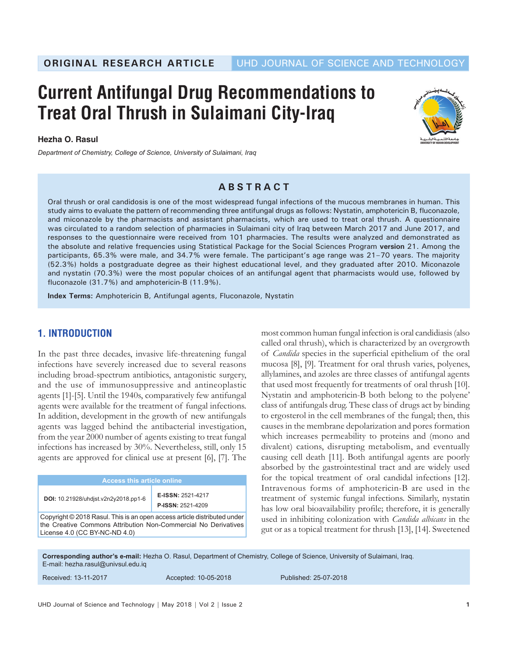# **Current Antifungal Drug Recommendations to Treat Oral Thrush in Sulaimani City-Iraq**

**Hezha O. Rasul**

*Department of Chemistry, College of Science, University of Sulaimani, Iraq*



## **ABSTRACT**

Oral thrush or oral candidosis is one of the most widespread fungal infections of the mucous membranes in human. This study aims to evaluate the pattern of recommending three antifungal drugs as follows: Nystatin, amphotericin B, fluconazole, and miconazole by the pharmacists and assistant pharmacists, which are used to treat oral thrush. A questionnaire was circulated to a random selection of pharmacies in Sulaimani city of Iraq between March 2017 and June 2017, and responses to the questionnaire were received from 101 pharmacies. The results were analyzed and demonstrated as the absolute and relative frequencies using Statistical Package for the Social Sciences Program **version** 21. Among the participants, 65.3% were male, and 34.7% were female. The participant's age range was 21–70 years. The majority (52.3%) holds a postgraduate degree as their highest educational level, and they graduated after 2010. Miconazole and nystatin (70.3%) were the most popular choices of an antifungal agent that pharmacists would use, followed by fluconazole (31.7%) and amphotericin-B (11.9%).

**Index Terms:** Amphotericin B, Antifungal agents, Fluconazole, Nystatin

## **1. INTRODUCTION**

In the past three decades, invasive life-threatening fungal infections have severely increased due to several reasons including broad-spectrum antibiotics, antagonistic surgery, and the use of immunosuppressive and antineoplastic agents [1]-[5]. Until the 1940s, comparatively few antifungal agents were available for the treatment of fungal infections. In addition, development in the growth of new antifungals agents was lagged behind the antibacterial investigation, from the year 2000 number of agents existing to treat fungal infections has increased by 30%. Nevertheless, still, only 15 agents are approved for clinical use at present [6], [7]. The

|                                                                                                                                            | <b>Access this article online</b>    |                                               |  |
|--------------------------------------------------------------------------------------------------------------------------------------------|--------------------------------------|-----------------------------------------------|--|
|                                                                                                                                            | DOI: 10.21928/uhdist.v2n2y2018.pp1-6 | E-ISSN: 2521-4217<br><b>P-ISSN: 2521-4209</b> |  |
| Copyright © 2018 Rasul. This is an open access article distributed under<br>the Creative Commons Attribution Nep Commorsial No Derivatives |                                      |                                               |  |

the Creative Commons Attribution Non-Commercial No Derivatives License 4.0 (CC BY-NC-ND 4.0)

most common human fungal infection is oral candidiasis (also called oral thrush), which is characterized by an overgrowth of *Candida* species in the superficial epithelium of the oral mucosa [8], [9]. Treatment for oral thrush varies, polyenes, allylamines, and azoles are three classes of antifungal agents that used most frequently for treatments of oral thrush [10]. Nystatin and amphotericin-B both belong to the polyene' class of antifungals drug. These class of drugs act by binding to ergosterol in the cell membranes of the fungal; then, this causes in the membrane depolarization and pores formation which increases permeability to proteins and (mono and divalent) cations, disrupting metabolism, and eventually causing cell death [11]. Both antifungal agents are poorly absorbed by the gastrointestinal tract and are widely used for the topical treatment of oral candidal infections [12]. Intravenous forms of amphotericin-B are used in the treatment of systemic fungal infections. Similarly, nystatin has low oral bioavailability profile; therefore, it is generally used in inhibiting colonization with *Candida albicans* in the gut or as a topical treatment for thrush [13], [14]. Sweetened

**Corresponding author's e-mail:** Hezha O. Rasul, Department of Chemistry, College of Science, University of Sulaimani, Iraq. E-mail: hezha.rasul@univsul.edu.iq

| Received: 13-11-2017 | Accepted: 10-05-2018 | Published: 25-07-2018 |
|----------------------|----------------------|-----------------------|
|                      |                      |                       |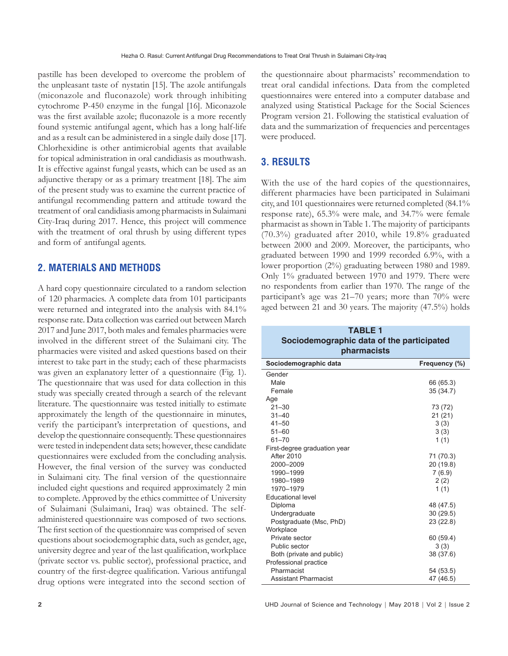pastille has been developed to overcome the problem of the unpleasant taste of nystatin [15]. The azole antifungals (miconazole and fluconazole) work through inhibiting cytochrome P-450 enzyme in the fungal [16]. Miconazole was the first available azole; fluconazole is a more recently found systemic antifungal agent, which has a long half-life and as a result can be administered in a single daily dose [17]. Chlorhexidine is other antimicrobial agents that available for topical administration in oral candidiasis as mouthwash. It is effective against fungal yeasts, which can be used as an adjunctive therapy or as a primary treatment [18]. The aim of the present study was to examine the current practice of antifungal recommending pattern and attitude toward the treatment of oral candidiasis among pharmacists in Sulaimani City-Iraq during 2017. Hence, this project will commence with the treatment of oral thrush by using different types and form of antifungal agents.

### **2. MATERIALS AND METHODS**

A hard copy questionnaire circulated to a random selection of 120 pharmacies. A complete data from 101 participants were returned and integrated into the analysis with 84.1% response rate. Data collection was carried out between March 2017 and June 2017, both males and females pharmacies were involved in the different street of the Sulaimani city. The pharmacies were visited and asked questions based on their interest to take part in the study; each of these pharmacists was given an explanatory letter of a questionnaire (Fig. 1). The questionnaire that was used for data collection in this study was specially created through a search of the relevant literature. The questionnaire was tested initially to estimate approximately the length of the questionnaire in minutes, verify the participant's interpretation of questions, and develop the questionnaire consequently. These questionnaires were tested in independent data sets; however, these candidate questionnaires were excluded from the concluding analysis. However, the final version of the survey was conducted in Sulaimani city. The final version of the questionnaire included eight questions and required approximately 2 min to complete. Approved by the ethics committee of University of Sulaimani (Sulaimani, Iraq) was obtained. The selfadministered questionnaire was composed of two sections. The first section of the questionnaire was comprised of seven questions about sociodemographic data, such as gender, age, university degree and year of the last qualification, workplace (private sector vs. public sector), professional practice, and country of the first-degree qualification. Various antifungal drug options were integrated into the second section of

the questionnaire about pharmacists' recommendation to treat oral candidal infections. Data from the completed questionnaires were entered into a computer database and analyzed using Statistical Package for the Social Sciences Program version 21. Following the statistical evaluation of data and the summarization of frequencies and percentages were produced.

#### **3. RESULTS**

With the use of the hard copies of the questionnaires, different pharmacies have been participated in Sulaimani city, and 101 questionnaires were returned completed (84.1% response rate), 65.3% were male, and 34.7% were female pharmacist as shown in Table 1. The majority of participants (70.3%) graduated after 2010, while 19.8% graduated between 2000 and 2009. Moreover, the participants, who graduated between 1990 and 1999 recorded 6.9%, with a lower proportion (2%) graduating between 1980 and 1989. Only 1% graduated between 1970 and 1979. There were no respondents from earlier than 1970. The range of the participant's age was 21–70 years; more than 70% were aged between 21 and 30 years. The majority (47.5%) holds

| <b>TABLE 1</b><br>Sociodemographic data of the participated<br>pharmacists |               |  |  |  |
|----------------------------------------------------------------------------|---------------|--|--|--|
| Sociodemographic data                                                      | Frequency (%) |  |  |  |
| Gender                                                                     |               |  |  |  |
| Male                                                                       | 66 (65.3)     |  |  |  |
| Female                                                                     | 35 (34.7)     |  |  |  |
| Age                                                                        |               |  |  |  |
| $21 - 30$                                                                  | 73 (72)       |  |  |  |
| $31 - 40$                                                                  | 21(21)        |  |  |  |
| $41 - 50$                                                                  | 3(3)          |  |  |  |
| $51 - 60$                                                                  | 3(3)          |  |  |  |
| $61 - 70$                                                                  | 1(1)          |  |  |  |
| First-degree graduation year                                               |               |  |  |  |
| <b>After 2010</b>                                                          | 71 (70.3)     |  |  |  |
| 2000-2009                                                                  | 20 (19.8)     |  |  |  |
| 1990-1999                                                                  | 7(6.9)        |  |  |  |
| 1980-1989                                                                  | 2(2)          |  |  |  |
| 1970-1979                                                                  | 1(1)          |  |  |  |
| Educational level                                                          |               |  |  |  |
| Diploma                                                                    | 48 (47.5)     |  |  |  |
| Undergraduate                                                              | 30(29.5)      |  |  |  |
| Postgraduate (Msc, PhD)                                                    | 23 (22.8)     |  |  |  |
| Workplace                                                                  |               |  |  |  |
| Private sector                                                             | 60 (59.4)     |  |  |  |
| Public sector                                                              | 3(3)          |  |  |  |
| Both (private and public)                                                  | 38 (37.6)     |  |  |  |
| Professional practice                                                      |               |  |  |  |
| Pharmacist                                                                 | 54 (53.5)     |  |  |  |
| <b>Assistant Pharmacist</b>                                                | 47 (46.5)     |  |  |  |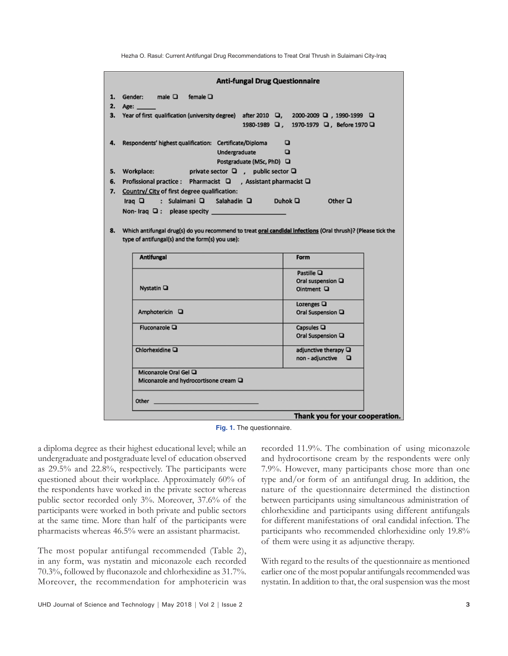Hezha O. Rasul: Current Antifungal Drug Recommendations to Treat Oral Thrush in Sulaimani City-Iraq

|                                                                     |                                                                                                       | <b>Anti-fungal Drug Questionnaire</b>      |  |  |  |
|---------------------------------------------------------------------|-------------------------------------------------------------------------------------------------------|--------------------------------------------|--|--|--|
| 1.                                                                  | Gender: male $\square$ female $\square$                                                               |                                            |  |  |  |
| 2.                                                                  | Age: ____                                                                                             |                                            |  |  |  |
| 3.                                                                  | Year of first qualification (university degree) after 2010 a, 2000-2009 a, 1990-1999 a                | 1980-1989 Q, 1970-1979 Q, Before 1970 Q    |  |  |  |
| 4.                                                                  | Respondents' highest qualification: Certificate/Diploma<br>Undergraduate<br>Postgraduate (MSc, PhD) □ | o<br>$\Box$                                |  |  |  |
| 5.                                                                  | Workplace: private sector $\Box$ , public sector $\Box$                                               |                                            |  |  |  |
| Profissional practice : Pharmacist □ , Assistant pharmacist □<br>6. |                                                                                                       |                                            |  |  |  |
| 7.                                                                  | Country/ City of first degree qualification:                                                          |                                            |  |  |  |
|                                                                     | Iraq Q : Sulaimani Q Salahadin Q Duhok Q                                                              | Other $\Box$                               |  |  |  |
|                                                                     | Non-Iraq Q: please specity                                                                            |                                            |  |  |  |
|                                                                     | <b>Antifungal</b>                                                                                     | Form                                       |  |  |  |
|                                                                     |                                                                                                       | Pastille Q                                 |  |  |  |
|                                                                     | Nystatin Q                                                                                            | Oral suspension Q<br>Ointment Q            |  |  |  |
|                                                                     |                                                                                                       | Lozenges $\Box$                            |  |  |  |
|                                                                     | Amphotericin Q                                                                                        | Oral Suspension Q                          |  |  |  |
|                                                                     | Fluconazole $\Box$                                                                                    | Capsules $\Box$<br>Oral Suspension Q       |  |  |  |
|                                                                     | Chlorhexidine Q                                                                                       | adjunctive therapy Q<br>non - adjunctive Q |  |  |  |
|                                                                     | Miconazole Oral Gel Q<br>Miconazole and hydrocortisone cream Q                                        |                                            |  |  |  |
|                                                                     | Other<br><u> 1989 - Johann John Stone, markin sanat a shekara 1980</u>                                |                                            |  |  |  |
|                                                                     |                                                                                                       | Thank you for your cooperation.            |  |  |  |
|                                                                     |                                                                                                       |                                            |  |  |  |

**Fig. 1.** The questionnaire.

a diploma degree as their highest educational level; while an undergraduate and postgraduate level of education observed as 29.5% and 22.8%, respectively. The participants were questioned about their workplace. Approximately 60% of the respondents have worked in the private sector whereas public sector recorded only 3%. Moreover, 37.6% of the participants were worked in both private and public sectors at the same time. More than half of the participants were pharmacists whereas 46.5% were an assistant pharmacist.

The most popular antifungal recommended (Table 2), in any form, was nystatin and miconazole each recorded 70.3%, followed by fluconazole and chlorhexidine as 31.7%. Moreover, the recommendation for amphotericin was recorded 11.9%. The combination of using miconazole and hydrocortisone cream by the respondents were only 7.9%. However, many participants chose more than one type and/or form of an antifungal drug. In addition, the nature of the questionnaire determined the distinction between participants using simultaneous administration of chlorhexidine and participants using different antifungals for different manifestations of oral candidal infection. The participants who recommended chlorhexidine only 19.8% of them were using it as adjunctive therapy.

With regard to the results of the questionnaire as mentioned earlier one of the most popular antifungals recommended was nystatin. In addition to that, the oral suspension was the most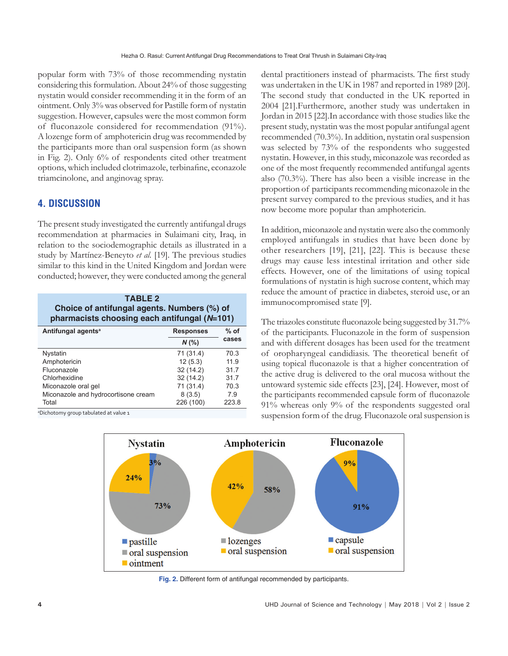popular form with 73% of those recommending nystatin considering this formulation. About 24% of those suggesting nystatin would consider recommending it in the form of an ointment. Only 3% was observed for Pastille form of nystatin suggestion. However, capsules were the most common form of fluconazole considered for recommendation (91%). A lozenge form of amphotericin drug was recommended by the participants more than oral suspension form (as shown in Fig. 2). Only 6% of respondents cited other treatment options, which included clotrimazole, terbinafine, econazole triamcinolone, and anginovag spray.

# **4. DISCUSSION**

The present study investigated the currently antifungal drugs recommendation at pharmacies in Sulaimani city, Iraq, in relation to the sociodemographic details as illustrated in a study by Martínez-Beneyto *et al.* [19]. The previous studies similar to this kind in the United Kingdom and Jordan were conducted; however, they were conducted among the general

| <b>TABLE 2</b><br>Choice of antifungal agents. Numbers (%) of<br>pharmacists choosing each antifungal (N=101) |                  |        |  |
|---------------------------------------------------------------------------------------------------------------|------------------|--------|--|
| Antifungal agents <sup>a</sup>                                                                                | <b>Responses</b> | $%$ of |  |
|                                                                                                               | $N$ (%)          | cases  |  |
| Nystatin                                                                                                      | 71 (31.4)        | 70.3   |  |
| Amphotericin                                                                                                  | 12(5.3)          | 11.9   |  |
| Fluconazole                                                                                                   | 32(14.2)         | 31.7   |  |
| Chlorhexidine                                                                                                 | 32(14.2)         | 31.7   |  |
| Miconazole oral gel                                                                                           | 71 (31.4)        | 70.3   |  |
| Miconazole and hydrocortisone cream                                                                           | 8(3.5)           | 7.9    |  |
| Total                                                                                                         | 226 (100)        | 223.8  |  |

a Dichotomy group tabulated at value 1

dental practitioners instead of pharmacists. The first study was undertaken in the UK in 1987 and reported in 1989 [20]. The second study that conducted in the UK reported in 2004 [21].Furthermore, another study was undertaken in Jordan in 2015 [22].In accordance with those studies like the present study, nystatin was the most popular antifungal agent recommended (70.3%). In addition, nystatin oral suspension was selected by 73% of the respondents who suggested nystatin. However, in this study, miconazole was recorded as one of the most frequently recommended antifungal agents also (70.3%). There has also been a visible increase in the proportion of participants recommending miconazole in the present survey compared to the previous studies, and it has now become more popular than amphotericin.

In addition, miconazole and nystatin were also the commonly employed antifungals in studies that have been done by other researchers [19], [21], [22]. This is because these drugs may cause less intestinal irritation and other side effects. However, one of the limitations of using topical formulations of nystatin is high sucrose content, which may reduce the amount of practice in diabetes, steroid use, or an immunocompromised state [9].

The triazoles constitute fluconazole being suggested by 31.7% of the participants. Fluconazole in the form of suspension and with different dosages has been used for the treatment of oropharyngeal candidiasis. The theoretical benefit of using topical fluconazole is that a higher concentration of the active drug is delivered to the oral mucosa without the untoward systemic side effects [23], [24]. However, most of the participants recommended capsule form of fluconazole 91% whereas only 9% of the respondents suggested oral suspension form of the drug. Fluconazole oral suspension is



**Fig. 2.** Different form of antifungal recommended by participants.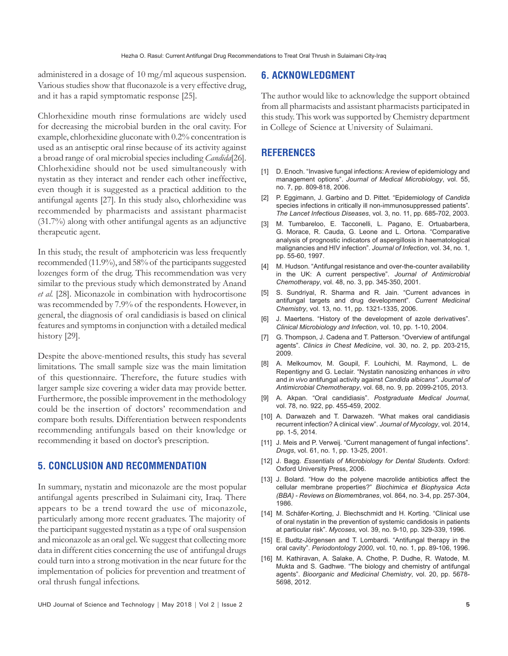administered in a dosage of 10 mg/ml aqueous suspension. Various studies show that fluconazole is a very effective drug, and it has a rapid symptomatic response [25].

Chlorhexidine mouth rinse formulations are widely used for decreasing the microbial burden in the oral cavity. For example, chlorhexidine gluconate with 0.2% concentration is used as an antiseptic oral rinse because of its activity against a broad range of oral microbial species including *Candida*[26]. Chlorhexidine should not be used simultaneously with nystatin as they interact and render each other ineffective, even though it is suggested as a practical addition to the antifungal agents [27]. In this study also, chlorhexidine was recommended by pharmacists and assistant pharmacist (31.7%) along with other antifungal agents as an adjunctive therapeutic agent.

In this study, the result of amphotericin was less frequently recommended (11.9%), and 58% of the participants suggested lozenges form of the drug. This recommendation was very similar to the previous study which demonstrated by Anand *et al.* [28]. Miconazole in combination with hydrocortisone was recommended by 7.9% of the respondents. However, in general, the diagnosis of oral candidiasis is based on clinical features and symptoms in conjunction with a detailed medical history [29].

Despite the above-mentioned results, this study has several limitations. The small sample size was the main limitation of this questionnaire. Therefore, the future studies with larger sample size covering a wider data may provide better. Furthermore, the possible improvement in the methodology could be the insertion of doctors' recommendation and compare both results. Differentiation between respondents recommending antifungals based on their knowledge or recommending it based on doctor's prescription.

#### **5. CONCLUSION AND RECOMMENDATION**

In summary, nystatin and miconazole are the most popular antifungal agents prescribed in Sulaimani city, Iraq. There appears to be a trend toward the use of miconazole, particularly among more recent graduates. The majority of the participant suggested nystatin as a type of oral suspension and miconazole as an oral gel. We suggest that collecting more data in different cities concerning the use of antifungal drugs could turn into a strong motivation in the near future for the implementation of policies for prevention and treatment of oral thrush fungal infections.

#### **6. ACKNOWLEDGMENT**

The author would like to acknowledge the support obtained from all pharmacists and assistant pharmacists participated in this study. This work was supported by Chemistry department in College of Science at University of Sulaimani.

#### **REFERENCES**

- [1] D. Enoch. "Invasive fungal infections: A review of epidemiology and management options". *Journal of Medical Microbiology*, vol. 55, no. 7, pp. 809-818, 2006.
- [2] P. Eggimann, J. Garbino and D. Pittet. "Epidemiology of *Candida* species infections in critically ill non-immunosuppressed patients"*. The Lancet Infectious Diseases*, vol. 3, no. 11, pp. 685-702, 2003.
- [3] M. Tumbareloo, E. Tacconelli, L. Pagano, E. Ortuabarbera, G. Morace, R. Cauda, G. Leone and L. Ortona. "Comparative analysis of prognostic indicators of aspergillosis in haematological malignancies and HIV infection". *Journal of Infection*, vol. 34, no. 1, pp. 55-60, 1997.
- [4] M. Hudson. "Antifungal resistance and over-the-counter availability in the UK: A current perspective". *Journal of Antimicrobial Chemotherapy*, vol. 48, no. 3, pp. 345-350, 2001.
- [5] S. Sundriyal, R. Sharma and R. Jain. "Current advances in antifungal targets and drug development". *Current Medicinal Chemistry*, vol. 13, no. 11, pp. 1321-1335, 2006.
- [6] J. Maertens. "History of the development of azole derivatives". *Clinical Microbiology and Infection*, vol. 10, pp. 1-10, 2004.
- [7] G. Thompson, J. Cadena and T. Patterson. "Overview of antifungal agents". *Clinics in Chest Medicine*, vol. 30, no. 2, pp. 203-215, 2009.
- [8] A. Melkoumov, M. Goupil, F. Louhichi, M. Raymond, L. de Repentigny and G. Leclair. "Nystatin nanosizing enhances *in vitro* and *in vivo* antifungal activity against *Candida albicans"*. *Journal of Antimicrobial Chemotherapy*, vol. 68, no. 9, pp. 2099-2105, 2013.
- [9] A. Akpan. "Oral candidiasis". *Postgraduate Medical Journal*, vol. 78, no. 922, pp. 455-459, 2002.
- [10] A. Darwazeh and T. Darwazeh. "What makes oral candidiasis recurrent infection? A clinical view". *Journal of Mycology*, vol. 2014, pp. 1-5, 2014.
- [11] J. Meis and P. Verweij. "Current management of fungal infections". *Drugs*, vol. 61, no. 1, pp. 13-25, 2001.
- [12] J. Bagg. *Essentials of Microbiology for Dental Students*. Oxford: Oxford University Press, 2006.
- [13] J. Bolard. "How do the polyene macrolide antibiotics affect the cellular membrane properties?" *Biochimica et Biophysica Acta (BBA) - Reviews on Biomembranes*, vol. 864, no. 3-4, pp. 257-304, 1986.
- [14] M. Schäfer-Korting, J. Blechschmidt and H. Korting. "Clinical use of oral nystatin in the prevention of systemic candidosis in patients at particular risk". *Mycoses*, vol. 39, no. 9-10, pp. 329-339, 1996.
- [15] E. Budtz-Jörgensen and T. Lombardi. "Antifungal therapy in the oral cavity". *Periodontology 2000*, vol. 10, no. 1, pp. 89-106, 1996.
- [16] M. Kathiravan, A. Salake, A. Chothe, P. Dudhe, R. Watode, M. Mukta and S. Gadhwe. "The biology and chemistry of antifungal agents". *Bioorganic and Medicinal Chemistry*, vol. 20, pp. 5678- 5698, 2012.